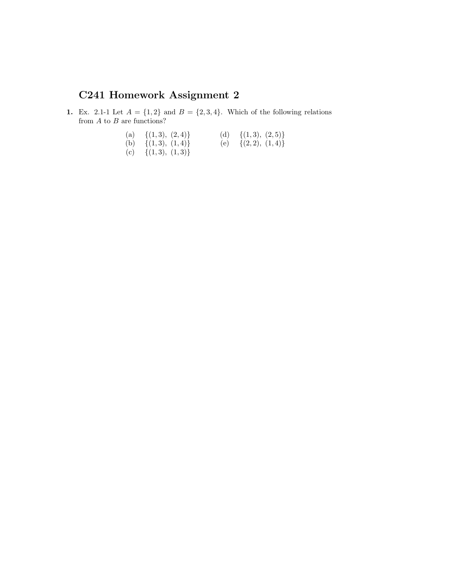## C241 Homework Assignment 2

1. Ex. 2.1-1 Let  $A = \{1, 2\}$  and  $B = \{2, 3, 4\}$ . Which of the following relations from  $A$  to  $B$  are functions?

| (a) $\{(1,3), (2,4)\}\$ |  | (d) $\{(1,3), (2,5)\}\$ |  |
|-------------------------|--|-------------------------|--|
| $(1)$ $(4)$             |  | (1)                     |  |

- (b)  $\{(1,3), (1,4)\}$  (e)  $\{(2,2), (1,4)\}$
- (c)  $\{(1,3), (1,3)\}$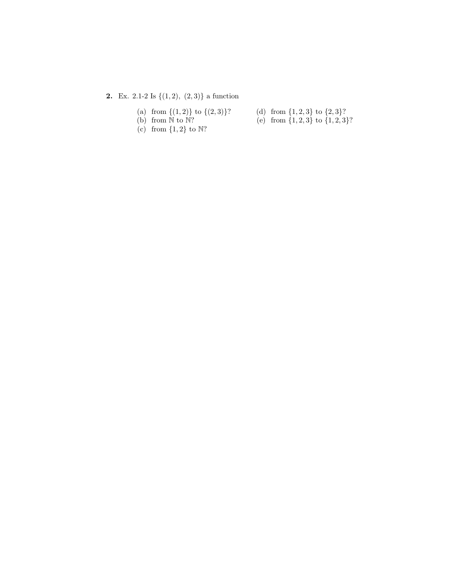**2.** Ex. 2.1-2 Is  $\{(1, 2), (2, 3)\}$  a function

- 
- 
- 
- (c) from  $\{1,2\}$  to  $\mathbb{N}$ ?
- (a) from  $\{(1,2)\}$  to  $\{(2,3)\}$ ?<br>(b) from N to N?<br>(e) from  $\{1,2,3\}$  to  $\{2,3\}$ ? (e) from  $\{1, 2, 3\}$  to  $\{1, 2, 3\}$ ?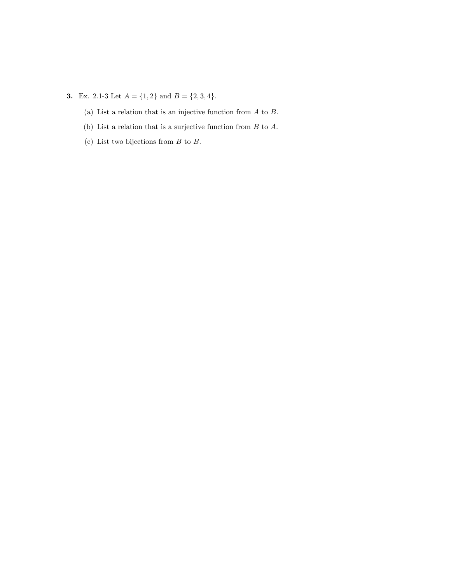3. Ex. 2.1-3 Let  $A = \{1, 2\}$  and  $B = \{2, 3, 4\}$ .

- (a) List a relation that is an injective function from  $A$  to  $B$ .
- (b) List a relation that is a surjective function from  $B$  to  $A$ .
- (c) List two bijections from  $B$  to  $B$ .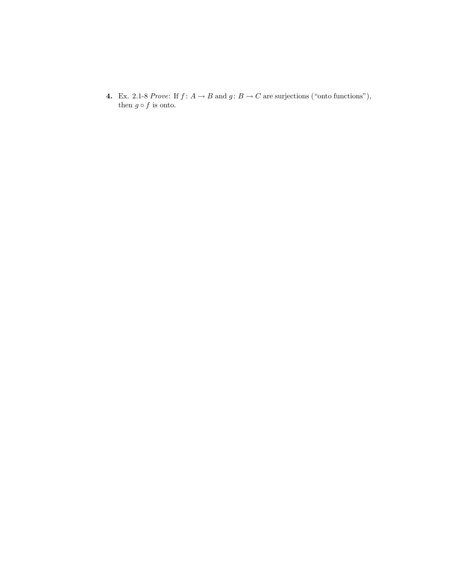4. Ex. 2.1-8 Prove: If  $f: A \to B$  and  $g: B \to C$  are surjections ("onto functions"), then  $g \circ f$  is onto.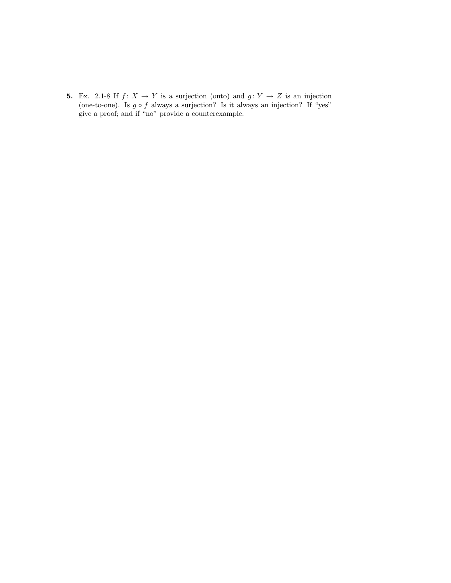5. Ex. 2.1-8 If  $f: X \to Y$  is a surjection (onto) and  $g: Y \to Z$  is an injection (one-to-one). Is  $g \circ f$  always a surjection? Is it always an injection? If "yes" give a proof; and if "no" provide a counterexample.